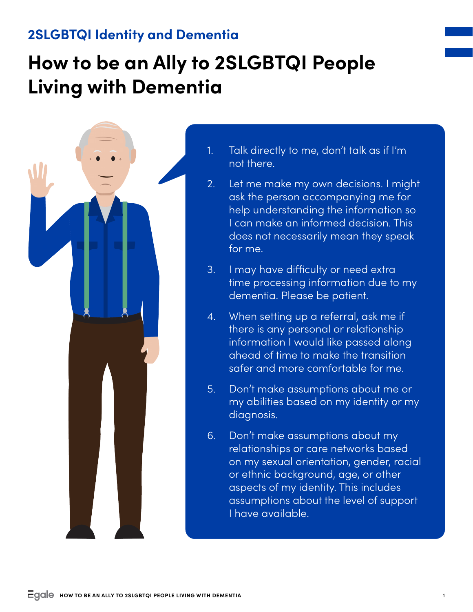## **2SLGBTQI Identity and Dementia**

## **How to be an Ally to 2SLGBTQI People Living with Dementia**



- 1. Talk directly to me, don't talk as if I'm not there.
- 2. Let me make my own decisions. I might ask the person accompanying me for help understanding the information so I can make an informed decision. This does not necessarily mean they speak for me.
- 3. I may have difficulty or need extra time processing information due to my dementia. Please be patient.
- 4. When setting up a referral, ask me if there is any personal or relationship information I would like passed along ahead of time to make the transition safer and more comfortable for me.
- 5. Don't make assumptions about me or my abilities based on my identity or my diagnosis.
- 6. Don't make assumptions about my relationships or care networks based on my sexual orientation, gender, racial or ethnic background, age, or other aspects of my identity. This includes assumptions about the level of support I have available.